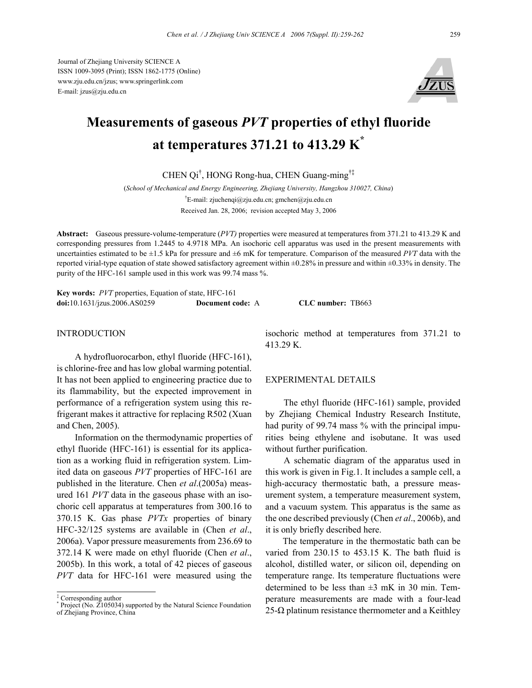Journal of Zhejiang University SCIENCE A ISSN 1009-3095 (Print); ISSN 1862-1775 (Online) www.zju.edu.cn/jzus; www.springerlink.com E-mail: jzus@zju.edu.cn



# **Measurements of gaseous** *PVT* **properties of ethyl fluoride at temperatures 371.21 to 413.29 K\***

CHEN Qi† , HONG Rong-hua, CHEN Guang-ming†‡

(*School of Mechanical and Energy Engineering, Zhejiang University, Hangzhou 310027, China*) † E-mail: zjuchenqi@zju.edu.cn; gmchen@zju.edu.cn Received Jan. 28, 2006; revision accepted May 3, 2006

**Abstract:** Gaseous pressure-volume-temperature (*PVT)* properties were measured at temperatures from 371.21 to 413.29 K and corresponding pressures from 1.2445 to 4.9718 MPa. An isochoric cell apparatus was used in the present measurements with uncertainties estimated to be  $\pm 1.5$  kPa for pressure and  $\pm 6$  mK for temperature. Comparison of the measured *PVT* data with the reported virial-type equation of state showed satisfactory agreement within ±0.28% in pressure and within ±0.33% in density. The purity of the HFC-161 sample used in this work was 99.74 mass %.

**Key words:** *PVT* properties, Equation of state, HFC-161 **doi:**10.1631/jzus.2006.AS0259 **Document code:** A **CLC number:** TB663

## INTRODUCTION

A hydrofluorocarbon, ethyl fluoride (HFC-161), is chlorine-free and has low global warming potential. It has not been applied to engineering practice due to its flammability, but the expected improvement in performance of a refrigeration system using this refrigerant makes it attractive for replacing R502 (Xuan and Chen, 2005).

Information on the thermodynamic properties of ethyl fluoride (HFC-161) is essential for its application as a working fluid in refrigeration system. Limited data on gaseous *PVT* properties of HFC-161 are published in the literature. Chen *et al*.(2005a) measured 161 *PVT* data in the gaseous phase with an isochoric cell apparatus at temperatures from 300.16 to 370.15 K. Gas phase *PVTx* properties of binary HFC-32/125 systems are available in (Chen *et al*., 2006a). Vapor pressure measurements from 236.69 to 372.14 K were made on ethyl fluoride (Chen *et al*., 2005b). In this work, a total of 42 pieces of gaseous *PVT* data for HFC-161 were measured using the

isochoric method at temperatures from 371.21 to 413.29 K.

### EXPERIMENTAL DETAILS

The ethyl fluoride (HFC-161) sample, provided by Zhejiang Chemical Industry Research Institute, had purity of 99.74 mass % with the principal impurities being ethylene and isobutane. It was used without further purification.

A schematic diagram of the apparatus used in this work is given in Fig.1. It includes a sample cell, a high-accuracy thermostatic bath, a pressure measurement system, a temperature measurement system, and a vacuum system. This apparatus is the same as the one described previously (Chen *et al*., 2006b), and it is only briefly described here.

The temperature in the thermostatic bath can be varied from 230.15 to 453.15 K. The bath fluid is alcohol, distilled water, or silicon oil, depending on temperature range. Its temperature fluctuations were determined to be less than  $\pm 3$  mK in 30 min. Temperature measurements are made with a four-lead  $25$ -Ω platinum resistance thermometer and a Keithley

<sup>&</sup>lt;sup>‡</sup> Corresponding author<br><sup>\*</sup> Project (No. 7105034

Project (No.  $\overline{Z}$ 105034) supported by the Natural Science Foundation of Zhejiang Province, China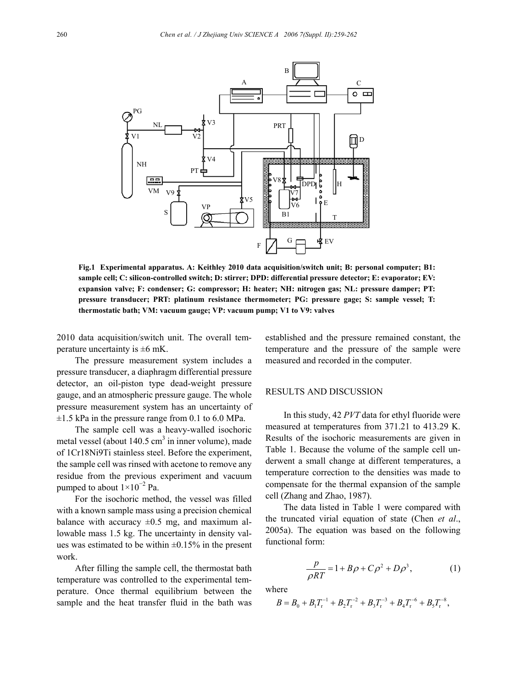

**Fig.1 Experimental apparatus. A: Keithley 2010 data acquisition/switch unit; B: personal computer; B1: sample cell; C: silicon-controlled switch; D: stirrer; DPD: differential pressure detector; E: evaporator; EV: expansion valve; F: condenser; G: compressor; H: heater; NH: nitrogen gas; NL: pressure damper; PT: pressure transducer; PRT: platinum resistance thermometer; PG: pressure gage; S: sample vessel; T: thermostatic bath; VM: vacuum gauge; VP: vacuum pump; V1 to V9: valves** 

2010 data acquisition/switch unit. The overall temperature uncertainty is  $\pm 6$  mK.

The pressure measurement system includes a pressure transducer, a diaphragm differential pressure detector, an oil-piston type dead-weight pressure gauge, and an atmospheric pressure gauge. The whole pressure measurement system has an uncertainty of  $\pm 1.5$  kPa in the pressure range from 0.1 to 6.0 MPa.

The sample cell was a heavy-walled isochoric metal vessel (about  $140.5 \text{ cm}^3$  in inner volume), made of 1Cr18Ni9Ti stainless steel. Before the experiment, the sample cell was rinsed with acetone to remove any residue from the previous experiment and vacuum pumped to about  $1 \times 10^{-2}$  Pa.

For the isochoric method, the vessel was filled with a known sample mass using a precision chemical balance with accuracy  $\pm 0.5$  mg, and maximum allowable mass 1.5 kg. The uncertainty in density values was estimated to be within  $\pm 0.15\%$  in the present work.

After filling the sample cell, the thermostat bath temperature was controlled to the experimental temperature. Once thermal equilibrium between the sample and the heat transfer fluid in the bath was

established and the pressure remained constant, the temperature and the pressure of the sample were measured and recorded in the computer.

### RESULTS AND DISCUSSION

In this study, 42 *PVT* data for ethyl fluoride were measured at temperatures from 371.21 to 413.29 K. Results of the isochoric measurements are given in Table 1. Because the volume of the sample cell underwent a small change at different temperatures, a temperature correction to the densities was made to compensate for the thermal expansion of the sample cell (Zhang and Zhao, 1987).

The data listed in Table 1 were compared with the truncated virial equation of state (Chen *et al*., 2005a). The equation was based on the following functional form:

$$
\frac{p}{\rho RT} = 1 + B\rho + C\rho^2 + D\rho^3, \qquad (1)
$$

where

$$
B=B_0+B_1T_{\rm r}^{-1}+B_2T_{\rm r}^{-2}+B_3T_{\rm r}^{-3}+B_4T_{\rm r}^{-6}+B_5T_{\rm r}^{-8},
$$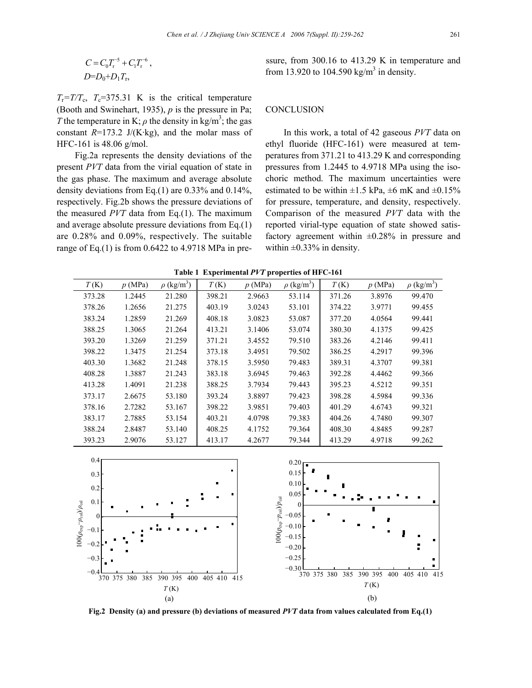$$
C = C_0 T_r^{-5} + C_1 T_r^{-6},
$$
  

$$
D = D_0 + D_1 T_r,
$$

 $T_r = T/T_c$ ,  $T_c = 375.31$  K is the critical temperature (Booth and Swinehart, 1935), *p* is the pressure in Pa; *T* the temperature in K;  $\rho$  the density in kg/m<sup>3</sup>; the gas constant  $R=173.2$  J/(K·kg), and the molar mass of HFC-161 is 48.06 g/mol.

Fig.2a represents the density deviations of the present *PVT* data from the virial equation of state in the gas phase. The maximum and average absolute density deviations from Eq.(1) are 0.33% and 0.14%, respectively. Fig.2b shows the pressure deviations of the measured *PVT* data from Eq.(1). The maximum and average absolute pressure deviations from Eq.(1) are 0.28% and 0.09%, respectively. The suitable range of Eq.(1) is from 0.6422 to 4.9718 MPa in pressure, from 300.16 to 413.29 K in temperature and from 13.920 to 104.590 kg/m<sup>3</sup> in density.

## **CONCLUSION**

In this work, a total of 42 gaseous *PVT* data on ethyl fluoride (HFC-161) were measured at temperatures from 371.21 to 413.29 K and corresponding pressures from 1.2445 to 4.9718 MPa using the isochoric method. The maximum uncertainties were estimated to be within  $\pm 1.5$  kPa,  $\pm 6$  mK and  $\pm 0.15\%$ for pressure, temperature, and density, respectively. Comparison of the measured *PVT* data with the reported virial-type equation of state showed satisfactory agreement within  $\pm 0.28\%$  in pressure and within  $\pm 0.33\%$  in density.

| T(K)   | p(MPa) | $\rho$ (kg/m <sup>3</sup> ) | T(K)   | p(MPa) | $\rho$ (kg/m <sup>3</sup> ) | T(K)   | p(MPa) | $\rho$ (kg/m <sup>3</sup> ) |
|--------|--------|-----------------------------|--------|--------|-----------------------------|--------|--------|-----------------------------|
| 373.28 | 1.2445 | 21.280                      | 398.21 | 2.9663 | 53.114                      | 371.26 | 3.8976 | 99.470                      |
| 378.26 | 1.2656 | 21.275                      | 403.19 | 3.0243 | 53.101                      | 374.22 | 3.9771 | 99.455                      |
| 383.24 | 1.2859 | 21.269                      | 408.18 | 3.0823 | 53.087                      | 377.20 | 4.0564 | 99.441                      |
| 388.25 | 1.3065 | 21.264                      | 413.21 | 3.1406 | 53.074                      | 380.30 | 4.1375 | 99.425                      |
| 393.20 | 1.3269 | 21.259                      | 371.21 | 3.4552 | 79.510                      | 383.26 | 4.2146 | 99.411                      |
| 398.22 | 1.3475 | 21.254                      | 373.18 | 3.4951 | 79.502                      | 386.25 | 4.2917 | 99.396                      |
| 403.30 | 1.3682 | 21.248                      | 378.15 | 3.5950 | 79.483                      | 389.31 | 4.3707 | 99.381                      |
| 408.28 | 1.3887 | 21.243                      | 383.18 | 3.6945 | 79.463                      | 392.28 | 4.4462 | 99.366                      |
| 413.28 | 1.4091 | 21.238                      | 388.25 | 3.7934 | 79.443                      | 395.23 | 4.5212 | 99.351                      |
| 373.17 | 2.6675 | 53.180                      | 393.24 | 3.8897 | 79.423                      | 398.28 | 4.5984 | 99.336                      |
| 378.16 | 2.7282 | 53.167                      | 398.22 | 3.9851 | 79.403                      | 401.29 | 4.6743 | 99.321                      |
| 383.17 | 2.7885 | 53.154                      | 403.21 | 4.0798 | 79.383                      | 404.26 | 4.7480 | 99.307                      |
| 388.24 | 2.8487 | 53.140                      | 408.25 | 4.1752 | 79.364                      | 408.30 | 4.8485 | 99.287                      |
| 393.23 | 2.9076 | 53.127                      | 413.17 | 4.2677 | 79.344                      | 413.29 | 4.9718 | 99.262                      |

**Table 1 Experimental** *PVT* **properties of HFC-161** 



**Fig.2 Density (a) and pressure (b) deviations of measured** *PVT* **data from values calculated from Eq.(1)**